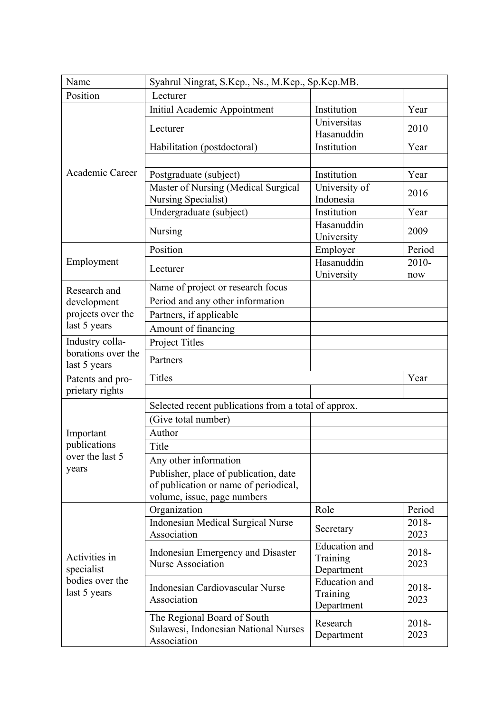| Name                                                           | Syahrul Ningrat, S.Kep., Ns., M.Kep., Sp.Kep.MB.                                                              |                                                |                 |  |
|----------------------------------------------------------------|---------------------------------------------------------------------------------------------------------------|------------------------------------------------|-----------------|--|
| Position                                                       | Lecturer                                                                                                      |                                                |                 |  |
|                                                                | <b>Initial Academic Appointment</b>                                                                           | Institution                                    | Year            |  |
|                                                                | Lecturer                                                                                                      | Universitas<br>Hasanuddin                      | 2010            |  |
|                                                                | Habilitation (postdoctoral)                                                                                   | Institution                                    | Year            |  |
|                                                                |                                                                                                               |                                                |                 |  |
| Academic Career                                                | Postgraduate (subject)                                                                                        | Institution                                    | Year            |  |
|                                                                | Master of Nursing (Medical Surgical                                                                           | University of                                  | 2016            |  |
|                                                                | Nursing Specialist)                                                                                           | Indonesia                                      |                 |  |
|                                                                | Undergraduate (subject)                                                                                       | Institution                                    | Year            |  |
|                                                                | Nursing                                                                                                       | Hasanuddin<br>University                       | 2009            |  |
|                                                                | Position                                                                                                      | Employer                                       | Period          |  |
| Employment                                                     | Lecturer                                                                                                      | Hasanuddin<br>University                       | $2010 -$<br>now |  |
| Research and                                                   | Name of project or research focus                                                                             |                                                |                 |  |
| development                                                    | Period and any other information                                                                              |                                                |                 |  |
| projects over the                                              | Partners, if applicable                                                                                       |                                                |                 |  |
| last 5 years                                                   | Amount of financing                                                                                           |                                                |                 |  |
| Industry colla-                                                | <b>Project Titles</b>                                                                                         |                                                |                 |  |
| borations over the<br>last 5 years                             | Partners                                                                                                      |                                                |                 |  |
| Patents and pro-                                               | Titles                                                                                                        |                                                | Year            |  |
| prietary rights                                                |                                                                                                               |                                                |                 |  |
|                                                                | Selected recent publications from a total of approx.                                                          |                                                |                 |  |
|                                                                | (Give total number)                                                                                           |                                                |                 |  |
| Important                                                      | Author                                                                                                        |                                                |                 |  |
| publications                                                   | Title                                                                                                         |                                                |                 |  |
| over the last 5<br>years                                       | Any other information                                                                                         |                                                |                 |  |
|                                                                | Publisher, place of publication, date<br>of publication or name of periodical,<br>volume, issue, page numbers |                                                |                 |  |
|                                                                | Organization                                                                                                  | Role                                           | Period          |  |
| Activities in<br>specialist<br>bodies over the<br>last 5 years | <b>Indonesian Medical Surgical Nurse</b><br>Association                                                       | Secretary                                      | 2018-<br>2023   |  |
|                                                                | Indonesian Emergency and Disaster<br><b>Nurse Association</b>                                                 | <b>Education</b> and<br>Training<br>Department | 2018-<br>2023   |  |
|                                                                | Indonesian Cardiovascular Nurse<br>Association                                                                | <b>Education</b> and<br>Training<br>Department | 2018-<br>2023   |  |
|                                                                | The Regional Board of South<br>Sulawesi, Indonesian National Nurses<br>Association                            | Research<br>Department                         | 2018-<br>2023   |  |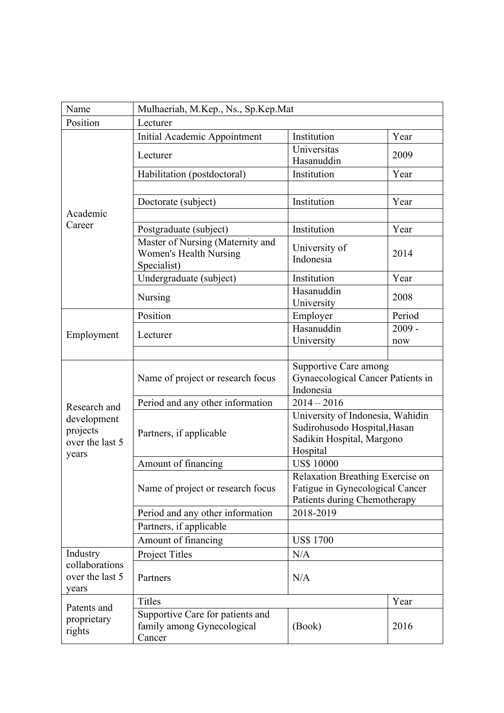| Name                       | Mulhaeriah, M.Kep., Ns., Sp.Kep.Mat                                              |                                                |          |  |  |
|----------------------------|----------------------------------------------------------------------------------|------------------------------------------------|----------|--|--|
| Position                   | Lecturer                                                                         |                                                |          |  |  |
|                            | Initial Academic Appointment                                                     | Institution                                    | Year     |  |  |
|                            | Lecturer                                                                         | Universitas<br>Hasanuddin                      | 2009     |  |  |
|                            | Habilitation (postdoctoral)                                                      | Institution                                    | Year     |  |  |
|                            |                                                                                  |                                                |          |  |  |
|                            | Doctorate (subject)                                                              | Institution                                    | Year     |  |  |
| Academic                   |                                                                                  |                                                |          |  |  |
| Career                     | Postgraduate (subject)                                                           | Institution                                    | Year     |  |  |
|                            | Master of Nursing (Maternity and<br><b>Women's Health Nursing</b><br>Specialist) | University of<br>Indonesia                     | 2014     |  |  |
|                            | Undergraduate (subject)                                                          | Institution                                    | Year     |  |  |
|                            | Nursing                                                                          | Hasanuddin                                     | 2008     |  |  |
|                            |                                                                                  | University                                     |          |  |  |
|                            | Position                                                                         | Employer                                       | Period   |  |  |
| Employment                 | Lecturer                                                                         | Hasanuddin                                     | $2009 -$ |  |  |
|                            |                                                                                  | University                                     | now      |  |  |
|                            |                                                                                  |                                                |          |  |  |
|                            |                                                                                  | <b>Supportive Care among</b>                   |          |  |  |
|                            | Name of project or research focus                                                | Gynaecological Cancer Patients in<br>Indonesia |          |  |  |
|                            | Period and any other information                                                 | $2014 - 2016$                                  |          |  |  |
| Research and               |                                                                                  | University of Indonesia, Wahidin               |          |  |  |
| development<br>projects    |                                                                                  | Sudirohusodo Hospital, Hasan                   |          |  |  |
| over the last 5            | Partners, if applicable                                                          | Sadikin Hospital, Margono                      |          |  |  |
| years                      |                                                                                  | Hospital                                       |          |  |  |
|                            | Amount of financing                                                              | <b>US\$ 10000</b>                              |          |  |  |
|                            | Name of project or research focus                                                | Relaxation Breathing Exercise on               |          |  |  |
|                            |                                                                                  | Fatigue in Gynecological Cancer                |          |  |  |
|                            |                                                                                  | Patients during Chemotherapy                   |          |  |  |
|                            | Period and any other information                                                 | 2018-2019                                      |          |  |  |
|                            | Partners, if applicable                                                          |                                                |          |  |  |
|                            | Amount of financing                                                              | <b>US\$1700</b>                                |          |  |  |
| Industry<br>collaborations | Project Titles                                                                   | N/A                                            |          |  |  |
| over the last 5            | Partners                                                                         | N/A                                            |          |  |  |
| years                      | <b>Titles</b>                                                                    |                                                | Year     |  |  |
| Patents and                | Supportive Care for patients and                                                 |                                                |          |  |  |
| proprietary<br>rights      | family among Gynecological<br>Cancer                                             | (Book)                                         | 2016     |  |  |